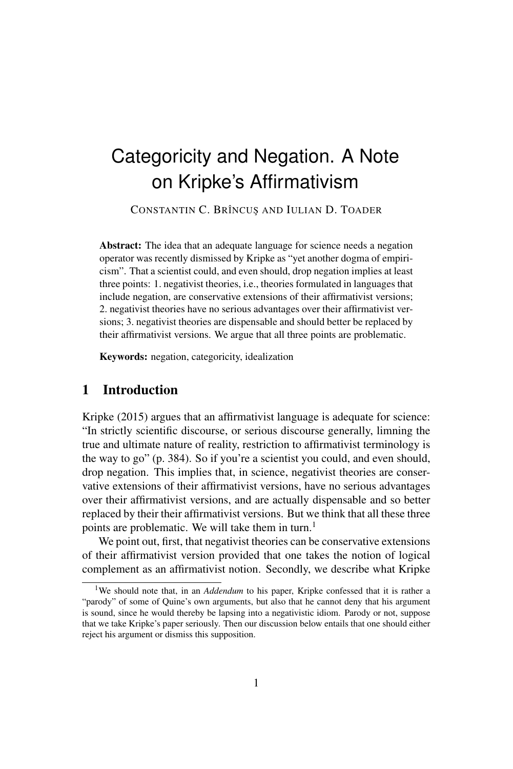# Categoricity and Negation. A Note on Kripke's Affirmativism

CONSTANTIN C. BRÎNCUȘ AND IULIAN D. TOADER

Abstract: The idea that an adequate language for science needs a negation operator was recently dismissed by Kripke as "yet another dogma of empiricism". That a scientist could, and even should, drop negation implies at least three points: 1. negativist theories, i.e., theories formulated in languages that include negation, are conservative extensions of their affirmativist versions; 2. negativist theories have no serious advantages over their affirmativist versions; 3. negativist theories are dispensable and should better be replaced by their affirmativist versions. We argue that all three points are problematic.

Keywords: negation, categoricity, idealization

## 1 Introduction

Kripke (2015) argues that an affirmativist language is adequate for science: "In strictly scientific discourse, or serious discourse generally, limning the true and ultimate nature of reality, restriction to affirmativist terminology is the way to go" (p. 384). So if you're a scientist you could, and even should, drop negation. This implies that, in science, negativist theories are conservative extensions of their affirmativist versions, have no serious advantages over their affirmativist versions, and are actually dispensable and so better replaced by their their affirmativist versions. But we think that all these three points are problematic. We will take them in turn.<sup>1</sup>

We point out, first, that negativist theories can be conservative extensions of their affirmativist version provided that one takes the notion of logical complement as an affirmativist notion. Secondly, we describe what Kripke

<sup>&</sup>lt;sup>1</sup>We should note that, in an *Addendum* to his paper, Kripke confessed that it is rather a "parody" of some of Quine's own arguments, but also that he cannot deny that his argument is sound, since he would thereby be lapsing into a negativistic idiom. Parody or not, suppose that we take Kripke's paper seriously. Then our discussion below entails that one should either reject his argument or dismiss this supposition.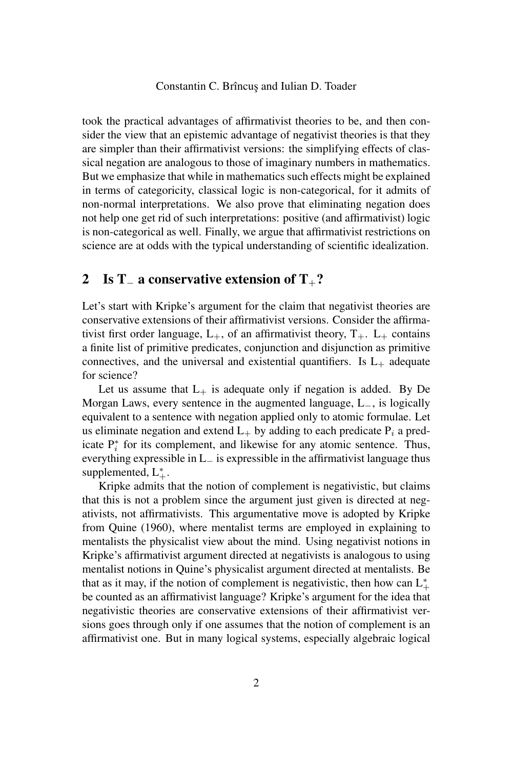took the practical advantages of affirmativist theories to be, and then consider the view that an epistemic advantage of negativist theories is that they are simpler than their affirmativist versions: the simplifying effects of classical negation are analogous to those of imaginary numbers in mathematics. But we emphasize that while in mathematics such effects might be explained in terms of categoricity, classical logic is non-categorical, for it admits of non-normal interpretations. We also prove that eliminating negation does not help one get rid of such interpretations: positive (and affirmativist) logic is non-categorical as well. Finally, we argue that affirmativist restrictions on science are at odds with the typical understanding of scientific idealization.

## 2 Is T<sub>−</sub> a conservative extension of T<sub>+</sub>?

Let's start with Kripke's argument for the claim that negativist theories are conservative extensions of their affirmativist versions. Consider the affirmativist first order language,  $L_{+}$ , of an affirmativist theory,  $T_{+}$ .  $L_{+}$  contains a finite list of primitive predicates, conjunction and disjunction as primitive connectives, and the universal and existential quantifiers. Is  $L_{+}$  adequate for science?

Let us assume that  $L_{+}$  is adequate only if negation is added. By De Morgan Laws, every sentence in the augmented language, L−, is logically equivalent to a sentence with negation applied only to atomic formulae. Let us eliminate negation and extend  $L_{+}$  by adding to each predicate  $P_i$  a predicate  $P_i^*$  for its complement, and likewise for any atomic sentence. Thus, everything expressible in L<sup>−</sup> is expressible in the affirmativist language thus supplemented,  $L_{+}^{*}$ .

Kripke admits that the notion of complement is negativistic, but claims that this is not a problem since the argument just given is directed at negativists, not affirmativists. This argumentative move is adopted by Kripke from Quine (1960), where mentalist terms are employed in explaining to mentalists the physicalist view about the mind. Using negativist notions in Kripke's affirmativist argument directed at negativists is analogous to using mentalist notions in Quine's physicalist argument directed at mentalists. Be that as it may, if the notion of complement is negativistic, then how can  $L^*$ be counted as an affirmativist language? Kripke's argument for the idea that negativistic theories are conservative extensions of their affirmativist versions goes through only if one assumes that the notion of complement is an affirmativist one. But in many logical systems, especially algebraic logical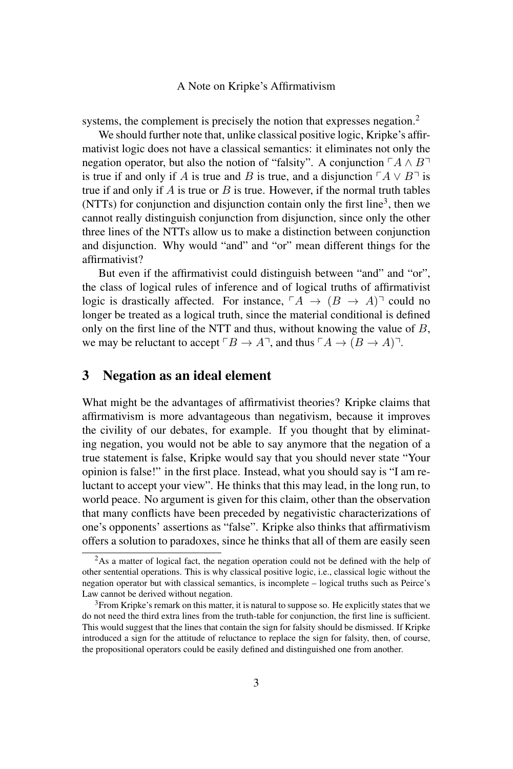systems, the complement is precisely the notion that expresses negation.<sup>2</sup>

We should further note that, unlike classical positive logic, Kripke's affirmativist logic does not have a classical semantics: it eliminates not only the negation operator, but also the notion of "falsity". A conjunction  $\ulcorner A \wedge B \urcorner$ is true if and only if A is true and B is true, and a disjunction  $\ulcorner A \lor B \urcorner$  is true if and only if  $A$  is true or  $B$  is true. However, if the normal truth tables (NTTs) for conjunction and disjunction contain only the first line<sup>3</sup>, then we cannot really distinguish conjunction from disjunction, since only the other three lines of the NTTs allow us to make a distinction between conjunction and disjunction. Why would "and" and "or" mean different things for the affirmativist?

But even if the affirmativist could distinguish between "and" and "or", the class of logical rules of inference and of logical truths of affirmativist logic is drastically affected. For instance,  $\ulcorner A \rightarrow (B \rightarrow A) \urcorner$  could no longer be treated as a logical truth, since the material conditional is defined only on the first line of the NTT and thus, without knowing the value of  $B$ , we may be reluctant to accept  $\ulcorner B \to A \urcorner$ , and thus  $\ulcorner A \to (B \to A) \urcorner$ .

## 3 Negation as an ideal element

What might be the advantages of affirmativist theories? Kripke claims that affirmativism is more advantageous than negativism, because it improves the civility of our debates, for example. If you thought that by eliminating negation, you would not be able to say anymore that the negation of a true statement is false, Kripke would say that you should never state "Your opinion is false!" in the first place. Instead, what you should say is "I am reluctant to accept your view". He thinks that this may lead, in the long run, to world peace. No argument is given for this claim, other than the observation that many conflicts have been preceded by negativistic characterizations of one's opponents' assertions as "false". Kripke also thinks that affirmativism offers a solution to paradoxes, since he thinks that all of them are easily seen

 $2$ As a matter of logical fact, the negation operation could not be defined with the help of other sentential operations. This is why classical positive logic, i.e., classical logic without the negation operator but with classical semantics, is incomplete – logical truths such as Peirce's Law cannot be derived without negation.

<sup>&</sup>lt;sup>3</sup>From Kripke's remark on this matter, it is natural to suppose so. He explicitly states that we do not need the third extra lines from the truth-table for conjunction, the first line is sufficient. This would suggest that the lines that contain the sign for falsity should be dismissed. If Kripke introduced a sign for the attitude of reluctance to replace the sign for falsity, then, of course, the propositional operators could be easily defined and distinguished one from another.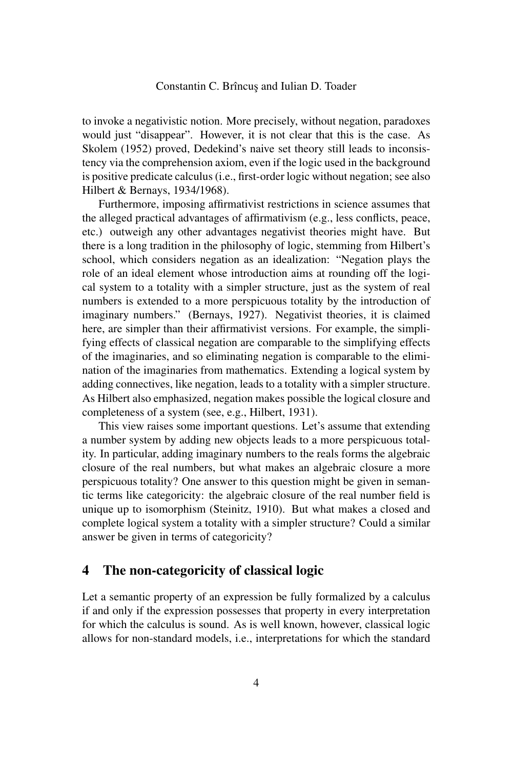to invoke a negativistic notion. More precisely, without negation, paradoxes would just "disappear". However, it is not clear that this is the case. As Skolem (1952) proved, Dedekind's naive set theory still leads to inconsistency via the comprehension axiom, even if the logic used in the background is positive predicate calculus (i.e., first-order logic without negation; see also Hilbert & Bernays, 1934/1968).

Furthermore, imposing affirmativist restrictions in science assumes that the alleged practical advantages of affirmativism (e.g., less conflicts, peace, etc.) outweigh any other advantages negativist theories might have. But there is a long tradition in the philosophy of logic, stemming from Hilbert's school, which considers negation as an idealization: "Negation plays the role of an ideal element whose introduction aims at rounding off the logical system to a totality with a simpler structure, just as the system of real numbers is extended to a more perspicuous totality by the introduction of imaginary numbers." (Bernays, 1927). Negativist theories, it is claimed here, are simpler than their affirmativist versions. For example, the simplifying effects of classical negation are comparable to the simplifying effects of the imaginaries, and so eliminating negation is comparable to the elimination of the imaginaries from mathematics. Extending a logical system by adding connectives, like negation, leads to a totality with a simpler structure. As Hilbert also emphasized, negation makes possible the logical closure and completeness of a system (see, e.g., Hilbert, 1931).

This view raises some important questions. Let's assume that extending a number system by adding new objects leads to a more perspicuous totality. In particular, adding imaginary numbers to the reals forms the algebraic closure of the real numbers, but what makes an algebraic closure a more perspicuous totality? One answer to this question might be given in semantic terms like categoricity: the algebraic closure of the real number field is unique up to isomorphism (Steinitz, 1910). But what makes a closed and complete logical system a totality with a simpler structure? Could a similar answer be given in terms of categoricity?

### 4 The non-categoricity of classical logic

Let a semantic property of an expression be fully formalized by a calculus if and only if the expression possesses that property in every interpretation for which the calculus is sound. As is well known, however, classical logic allows for non-standard models, i.e., interpretations for which the standard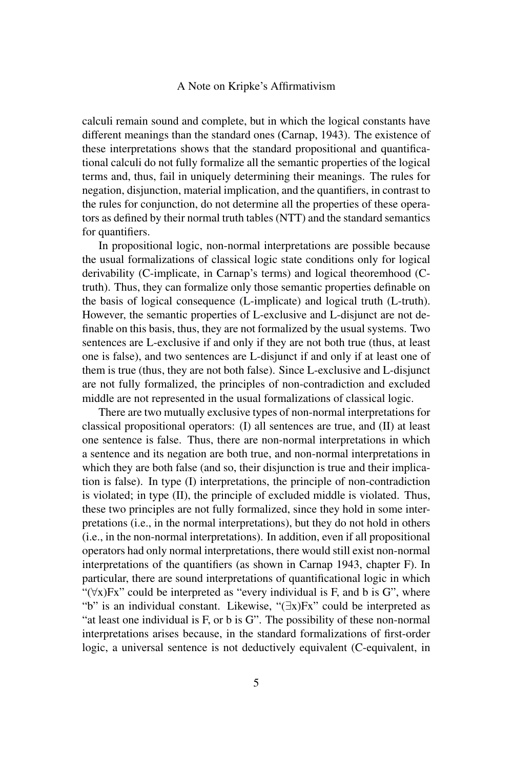calculi remain sound and complete, but in which the logical constants have different meanings than the standard ones (Carnap, 1943). The existence of these interpretations shows that the standard propositional and quantificational calculi do not fully formalize all the semantic properties of the logical terms and, thus, fail in uniquely determining their meanings. The rules for negation, disjunction, material implication, and the quantifiers, in contrast to the rules for conjunction, do not determine all the properties of these operators as defined by their normal truth tables (NTT) and the standard semantics for quantifiers.

In propositional logic, non-normal interpretations are possible because the usual formalizations of classical logic state conditions only for logical derivability (C-implicate, in Carnap's terms) and logical theoremhood (Ctruth). Thus, they can formalize only those semantic properties definable on the basis of logical consequence (L-implicate) and logical truth (L-truth). However, the semantic properties of L-exclusive and L-disjunct are not definable on this basis, thus, they are not formalized by the usual systems. Two sentences are L-exclusive if and only if they are not both true (thus, at least one is false), and two sentences are L-disjunct if and only if at least one of them is true (thus, they are not both false). Since L-exclusive and L-disjunct are not fully formalized, the principles of non-contradiction and excluded middle are not represented in the usual formalizations of classical logic.

There are two mutually exclusive types of non-normal interpretations for classical propositional operators: (I) all sentences are true, and (II) at least one sentence is false. Thus, there are non-normal interpretations in which a sentence and its negation are both true, and non-normal interpretations in which they are both false (and so, their disjunction is true and their implication is false). In type (I) interpretations, the principle of non-contradiction is violated; in type (II), the principle of excluded middle is violated. Thus, these two principles are not fully formalized, since they hold in some interpretations (i.e., in the normal interpretations), but they do not hold in others (i.e., in the non-normal interpretations). In addition, even if all propositional operators had only normal interpretations, there would still exist non-normal interpretations of the quantifiers (as shown in Carnap 1943, chapter F). In particular, there are sound interpretations of quantificational logic in which " $(\forall x)$ Fx" could be interpreted as "every individual is F, and b is G", where "b" is an individual constant. Likewise, "(∃x)Fx" could be interpreted as "at least one individual is F, or b is G". The possibility of these non-normal interpretations arises because, in the standard formalizations of first-order logic, a universal sentence is not deductively equivalent (C-equivalent, in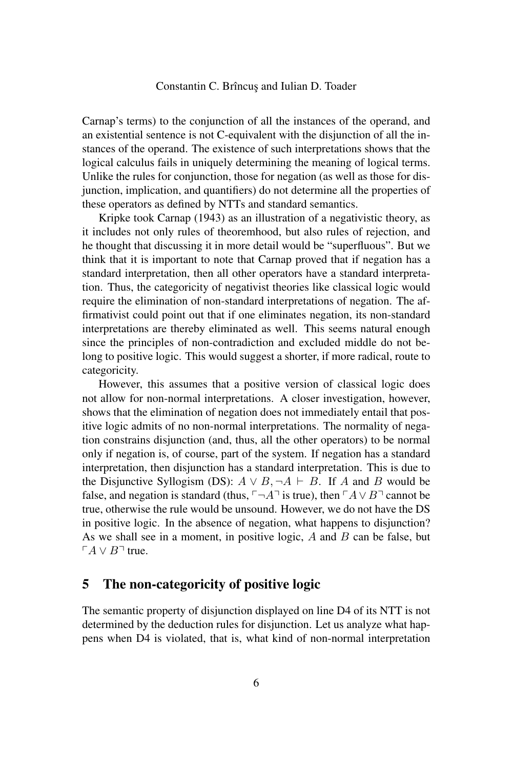Carnap's terms) to the conjunction of all the instances of the operand, and an existential sentence is not C-equivalent with the disjunction of all the instances of the operand. The existence of such interpretations shows that the logical calculus fails in uniquely determining the meaning of logical terms. Unlike the rules for conjunction, those for negation (as well as those for disjunction, implication, and quantifiers) do not determine all the properties of these operators as defined by NTTs and standard semantics.

Kripke took Carnap (1943) as an illustration of a negativistic theory, as it includes not only rules of theoremhood, but also rules of rejection, and he thought that discussing it in more detail would be "superfluous". But we think that it is important to note that Carnap proved that if negation has a standard interpretation, then all other operators have a standard interpretation. Thus, the categoricity of negativist theories like classical logic would require the elimination of non-standard interpretations of negation. The affirmativist could point out that if one eliminates negation, its non-standard interpretations are thereby eliminated as well. This seems natural enough since the principles of non-contradiction and excluded middle do not belong to positive logic. This would suggest a shorter, if more radical, route to categoricity.

However, this assumes that a positive version of classical logic does not allow for non-normal interpretations. A closer investigation, however, shows that the elimination of negation does not immediately entail that positive logic admits of no non-normal interpretations. The normality of negation constrains disjunction (and, thus, all the other operators) to be normal only if negation is, of course, part of the system. If negation has a standard interpretation, then disjunction has a standard interpretation. This is due to the Disjunctive Syllogism (DS):  $A \lor B, \neg A \vdash B$ . If A and B would be false, and negation is standard (thus,  $\neg A$ <sup> $\neg$ </sup> is true), then  $\neg A \lor B \neg$  cannot be true, otherwise the rule would be unsound. However, we do not have the DS in positive logic. In the absence of negation, what happens to disjunction? As we shall see in a moment, in positive logic,  $A$  and  $B$  can be false, but  $\ulcorner A \lor B \urcorner$  true.

## 5 The non-categoricity of positive logic

The semantic property of disjunction displayed on line D4 of its NTT is not determined by the deduction rules for disjunction. Let us analyze what happens when D4 is violated, that is, what kind of non-normal interpretation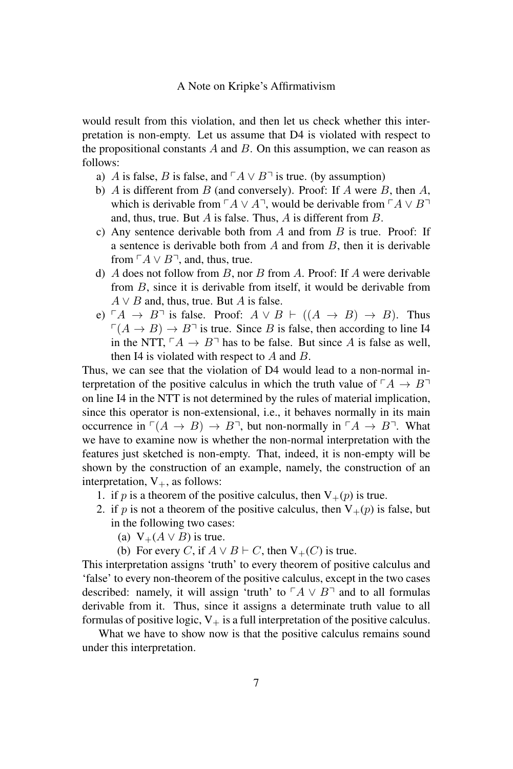would result from this violation, and then let us check whether this interpretation is non-empty. Let us assume that D4 is violated with respect to the propositional constants  $A$  and  $B$ . On this assumption, we can reason as follows:

- a) A is false, B is false, and  $\ulcorner A \lor B \urcorner$  is true. (by assumption)
- b) A is different from B (and conversely). Proof: If A were B, then A, which is derivable from  $\ulcorner A \lor A \urcorner$ , would be derivable from  $\ulcorner A \lor B \urcorner$ and, thus, true. But A is false. Thus, A is different from B.
- c) Any sentence derivable both from  $A$  and from  $B$  is true. Proof: If a sentence is derivable both from  $A$  and from  $B$ , then it is derivable from  $\ulcorner A \lor B \urcorner$ , and, thus, true.
- d) A does not follow from B, nor B from A. Proof: If A were derivable from B, since it is derivable from itself, it would be derivable from  $A \vee B$  and, thus, true. But A is false.
- e)  $\ulcorner A \to B \urcorner$  is false. Proof:  $A \lor B \vdash ((A \to B) \to B)$ . Thus  $\Gamma(A \to B) \to B^-$  is true. Since B is false, then according to line I4 in the NTT,  $\ulcorner A \to B \urcorner$  has to be false. But since A is false as well, then I4 is violated with respect to  $A$  and  $B$ .

Thus, we can see that the violation of D4 would lead to a non-normal interpretation of the positive calculus in which the truth value of  $\ulcorner A \to B \urcorner$ on line I4 in the NTT is not determined by the rules of material implication, since this operator is non-extensional, i.e., it behaves normally in its main occurrence in  $\Gamma(A \to B) \to B$ , but non-normally in  $\Gamma A \to B$ . What we have to examine now is whether the non-normal interpretation with the features just sketched is non-empty. That, indeed, it is non-empty will be shown by the construction of an example, namely, the construction of an interpretation,  $V_{+}$ , as follows:

- 1. if p is a theorem of the positive calculus, then  $V_+(p)$  is true.
- 2. if p is not a theorem of the positive calculus, then  $V_+(p)$  is false, but in the following two cases:
	- (a)  $V_+(A \vee B)$  is true.
	- (b) For every C, if  $A \lor B \vdash C$ , then  $V_+(C)$  is true.

This interpretation assigns 'truth' to every theorem of positive calculus and 'false' to every non-theorem of the positive calculus, except in the two cases described: namely, it will assign 'truth' to  $\ulcorner A \lor B \urcorner$  and to all formulas derivable from it. Thus, since it assigns a determinate truth value to all formulas of positive logic,  $V_+$  is a full interpretation of the positive calculus.

What we have to show now is that the positive calculus remains sound under this interpretation.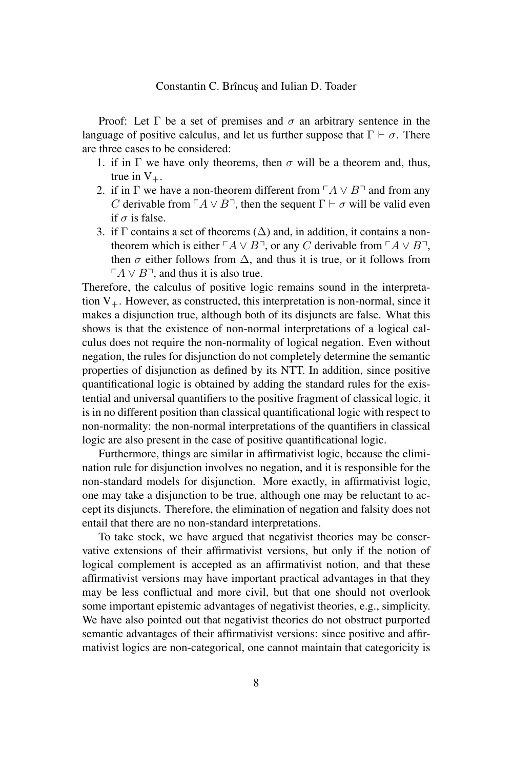Proof: Let  $\Gamma$  be a set of premises and  $\sigma$  an arbitrary sentence in the language of positive calculus, and let us further suppose that  $\Gamma \vdash \sigma$ . There are three cases to be considered:

- 1. if in  $\Gamma$  we have only theorems, then  $\sigma$  will be a theorem and, thus, true in  $V_{+}$ .
- 2. if in  $\Gamma$  we have a non-theorem different from  $\Gamma A \vee B$ <sup> $\sqcap$ </sup> and from any C derivable from  $\ulcorner A \lor B \urcorner$ , then the sequent  $\Gamma \vdash \sigma$  will be valid even if  $\sigma$  is false.
- 3. if  $\Gamma$  contains a set of theorems ( $\Delta$ ) and, in addition, it contains a nontheorem which is either  $\ulcorner A \lor B \urcorner$ , or any C derivable from  $\ulcorner A \lor B \urcorner$ , then  $\sigma$  either follows from  $\Delta$ , and thus it is true, or it follows from  $\Gamma A \vee B$ <sup>-1</sup>, and thus it is also true.

Therefore, the calculus of positive logic remains sound in the interpretation  $V_{+}$ . However, as constructed, this interpretation is non-normal, since it makes a disjunction true, although both of its disjuncts are false. What this shows is that the existence of non-normal interpretations of a logical calculus does not require the non-normality of logical negation. Even without negation, the rules for disjunction do not completely determine the semantic properties of disjunction as defined by its NTT. In addition, since positive quantificational logic is obtained by adding the standard rules for the existential and universal quantifiers to the positive fragment of classical logic, it is in no different position than classical quantificational logic with respect to non-normality: the non-normal interpretations of the quantifiers in classical logic are also present in the case of positive quantificational logic.

Furthermore, things are similar in affirmativist logic, because the elimination rule for disjunction involves no negation, and it is responsible for the non-standard models for disjunction. More exactly, in affirmativist logic, one may take a disjunction to be true, although one may be reluctant to accept its disjuncts. Therefore, the elimination of negation and falsity does not entail that there are no non-standard interpretations.

To take stock, we have argued that negativist theories may be conservative extensions of their affirmativist versions, but only if the notion of logical complement is accepted as an affirmativist notion, and that these affirmativist versions may have important practical advantages in that they may be less conflictual and more civil, but that one should not overlook some important epistemic advantages of negativist theories, e.g., simplicity. We have also pointed out that negativist theories do not obstruct purported semantic advantages of their affirmativist versions: since positive and affirmativist logics are non-categorical, one cannot maintain that categoricity is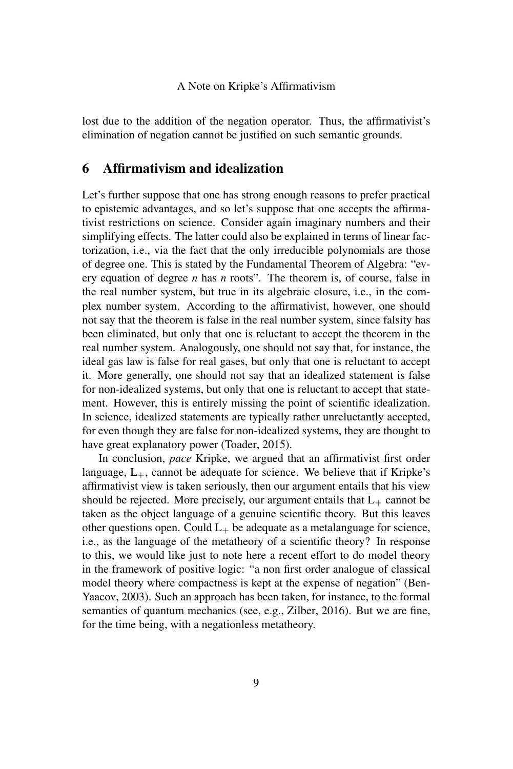lost due to the addition of the negation operator. Thus, the affirmativist's elimination of negation cannot be justified on such semantic grounds.

# 6 Affirmativism and idealization

Let's further suppose that one has strong enough reasons to prefer practical to epistemic advantages, and so let's suppose that one accepts the affirmativist restrictions on science. Consider again imaginary numbers and their simplifying effects. The latter could also be explained in terms of linear factorization, i.e., via the fact that the only irreducible polynomials are those of degree one. This is stated by the Fundamental Theorem of Algebra: "every equation of degree *n* has *n* roots". The theorem is, of course, false in the real number system, but true in its algebraic closure, i.e., in the complex number system. According to the affirmativist, however, one should not say that the theorem is false in the real number system, since falsity has been eliminated, but only that one is reluctant to accept the theorem in the real number system. Analogously, one should not say that, for instance, the ideal gas law is false for real gases, but only that one is reluctant to accept it. More generally, one should not say that an idealized statement is false for non-idealized systems, but only that one is reluctant to accept that statement. However, this is entirely missing the point of scientific idealization. In science, idealized statements are typically rather unreluctantly accepted, for even though they are false for non-idealized systems, they are thought to have great explanatory power (Toader, 2015).

In conclusion, *pace* Kripke, we argued that an affirmativist first order language,  $L_{+}$ , cannot be adequate for science. We believe that if Kripke's affirmativist view is taken seriously, then our argument entails that his view should be rejected. More precisely, our argument entails that  $L_{+}$  cannot be taken as the object language of a genuine scientific theory. But this leaves other questions open. Could  $L_{+}$  be adequate as a metalanguage for science, i.e., as the language of the metatheory of a scientific theory? In response to this, we would like just to note here a recent effort to do model theory in the framework of positive logic: "a non first order analogue of classical model theory where compactness is kept at the expense of negation" (Ben-Yaacov, 2003). Such an approach has been taken, for instance, to the formal semantics of quantum mechanics (see, e.g., Zilber, 2016). But we are fine, for the time being, with a negationless metatheory.